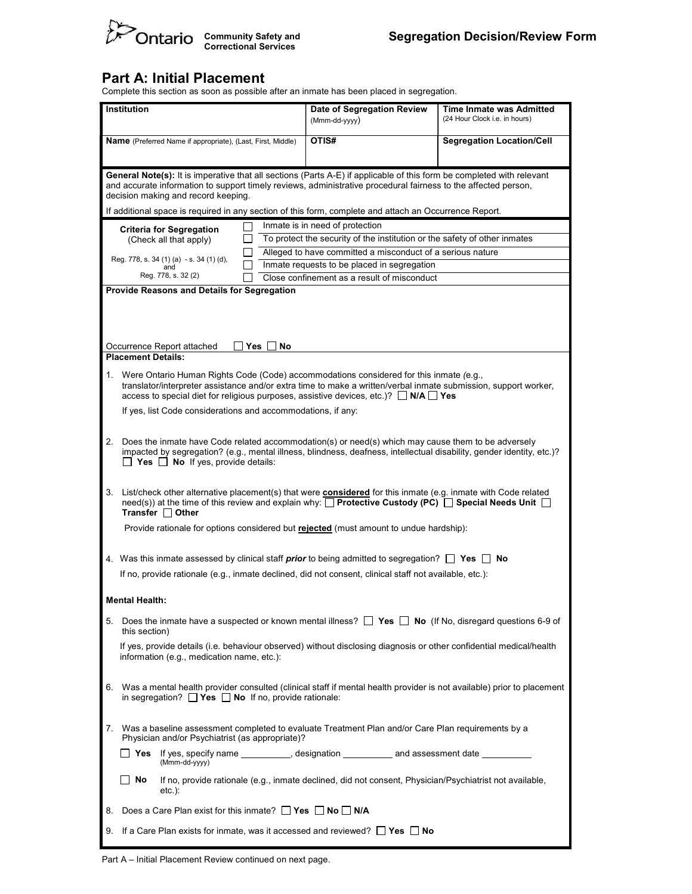

#### Part A: Initial Placement

Complete this section as soon as possible after an inmate has been placed in segregation.

| <b>Institution</b>                                                 |                                                                                                                                                                                                                                                                                                                                                                                                             |                                                                                                                                                                                                                                                                                                                                                        | Date of Segregation Review<br>(Mmm-dd-yyyy) | Time Inmate was Admitted<br>(24 Hour Clock i.e. in hours)  |  |  |  |
|--------------------------------------------------------------------|-------------------------------------------------------------------------------------------------------------------------------------------------------------------------------------------------------------------------------------------------------------------------------------------------------------------------------------------------------------------------------------------------------------|--------------------------------------------------------------------------------------------------------------------------------------------------------------------------------------------------------------------------------------------------------------------------------------------------------------------------------------------------------|---------------------------------------------|------------------------------------------------------------|--|--|--|
| <b>Name</b> (Preferred Name if appropriate), (Last, First, Middle) |                                                                                                                                                                                                                                                                                                                                                                                                             |                                                                                                                                                                                                                                                                                                                                                        | OTIS#                                       | <b>Segregation Location/Cell</b>                           |  |  |  |
|                                                                    | General Note(s): It is imperative that all sections (Parts A-E) if applicable of this form be completed with relevant<br>and accurate information to support timely reviews, administrative procedural fairness to the affected person,<br>decision making and record keeping.                                                                                                                              |                                                                                                                                                                                                                                                                                                                                                        |                                             |                                                            |  |  |  |
|                                                                    |                                                                                                                                                                                                                                                                                                                                                                                                             | If additional space is required in any section of this form, complete and attach an Occurrence Report.                                                                                                                                                                                                                                                 |                                             |                                                            |  |  |  |
|                                                                    | Inmate is in need of protection<br><b>Criteria for Segregation</b><br>To protect the security of the institution or the safety of other inmates<br>(Check all that apply)                                                                                                                                                                                                                                   |                                                                                                                                                                                                                                                                                                                                                        |                                             |                                                            |  |  |  |
|                                                                    |                                                                                                                                                                                                                                                                                                                                                                                                             |                                                                                                                                                                                                                                                                                                                                                        |                                             | Alleged to have committed a misconduct of a serious nature |  |  |  |
|                                                                    |                                                                                                                                                                                                                                                                                                                                                                                                             | Reg. 778, s. 34 (1) (a) - s. 34 (1) (d),<br>and                                                                                                                                                                                                                                                                                                        | Inmate requests to be placed in segregation |                                                            |  |  |  |
|                                                                    |                                                                                                                                                                                                                                                                                                                                                                                                             | Reg. 778, s. 32 (2)                                                                                                                                                                                                                                                                                                                                    | Close confinement as a result of misconduct |                                                            |  |  |  |
|                                                                    |                                                                                                                                                                                                                                                                                                                                                                                                             | Provide Reasons and Details for Segregation                                                                                                                                                                                                                                                                                                            |                                             |                                                            |  |  |  |
|                                                                    |                                                                                                                                                                                                                                                                                                                                                                                                             | Occurrence Report attached<br>Yes  <br>No                                                                                                                                                                                                                                                                                                              |                                             |                                                            |  |  |  |
|                                                                    | <b>Placement Details:</b><br>1. Were Ontario Human Rights Code (Code) accommodations considered for this inmate (e.g.,<br>translator/interpreter assistance and/or extra time to make a written/verbal inmate submission, support worker,<br>access to special diet for religious purposes, assistive devices, etc.)? $\Box$ N/A $\Box$ Yes<br>If yes, list Code considerations and accommodations, if any: |                                                                                                                                                                                                                                                                                                                                                        |                                             |                                                            |  |  |  |
|                                                                    | 2. Does the inmate have Code related accommodation(s) or need(s) which may cause them to be adversely<br>impacted by segregation? (e.g., mental illness, blindness, deafness, intellectual disability, gender identity, etc.)?<br>$\Box$ Yes $\Box$ No If yes, provide details:                                                                                                                             |                                                                                                                                                                                                                                                                                                                                                        |                                             |                                                            |  |  |  |
|                                                                    |                                                                                                                                                                                                                                                                                                                                                                                                             | 3. List/check other alternative placement(s) that were considered for this inmate (e.g. inmate with Code related<br>need(s)) at the time of this review and explain why: $\Box$ Protective Custody (PC) $\Box$ Special Needs Unit $\Box$<br>Transfer □ Other<br>Provide rationale for options considered but rejected (must amount to undue hardship): |                                             |                                                            |  |  |  |
|                                                                    |                                                                                                                                                                                                                                                                                                                                                                                                             |                                                                                                                                                                                                                                                                                                                                                        |                                             |                                                            |  |  |  |
|                                                                    |                                                                                                                                                                                                                                                                                                                                                                                                             | 4. Was this inmate assessed by clinical staff <b>prior</b> to being admitted to segregation? $\Box$ Yes $\Box$ No                                                                                                                                                                                                                                      |                                             |                                                            |  |  |  |
|                                                                    | If no, provide rationale (e.g., inmate declined, did not consent, clinical staff not available, etc.):                                                                                                                                                                                                                                                                                                      |                                                                                                                                                                                                                                                                                                                                                        |                                             |                                                            |  |  |  |
|                                                                    | <b>Mental Health:</b>                                                                                                                                                                                                                                                                                                                                                                                       |                                                                                                                                                                                                                                                                                                                                                        |                                             |                                                            |  |  |  |
|                                                                    | this section)                                                                                                                                                                                                                                                                                                                                                                                               | 5. Does the inmate have a suspected or known mental illness? $\Box$ Yes $\Box$ No (If No, disregard questions 6-9 of                                                                                                                                                                                                                                   |                                             |                                                            |  |  |  |
|                                                                    | If yes, provide details (i.e. behaviour observed) without disclosing diagnosis or other confidential medical/health<br>information (e.g., medication name, etc.):                                                                                                                                                                                                                                           |                                                                                                                                                                                                                                                                                                                                                        |                                             |                                                            |  |  |  |
|                                                                    | 6. Was a mental health provider consulted (clinical staff if mental health provider is not available) prior to placement<br>in segregation? $\Box$ <b>Yes <math>\Box</math> No</b> If no, provide rationale:                                                                                                                                                                                                |                                                                                                                                                                                                                                                                                                                                                        |                                             |                                                            |  |  |  |
|                                                                    | 7. Was a baseline assessment completed to evaluate Treatment Plan and/or Care Plan requirements by a<br>Physician and/or Psychiatrist (as appropriate)?                                                                                                                                                                                                                                                     |                                                                                                                                                                                                                                                                                                                                                        |                                             |                                                            |  |  |  |
|                                                                    | ∐ Yes ⊦                                                                                                                                                                                                                                                                                                                                                                                                     | If yes, specify name __________, designation ___________ and assessment date __________<br>(Mmm-dd-yyyy)                                                                                                                                                                                                                                               |                                             |                                                            |  |  |  |
|                                                                    | ∣ No                                                                                                                                                                                                                                                                                                                                                                                                        | If no, provide rationale (e.g., inmate declined, did not consent, Physician/Psychiatrist not available,<br>$etc.$ ):                                                                                                                                                                                                                                   |                                             |                                                            |  |  |  |
| 8.                                                                 | Does a Care Plan exist for this inmate? $\Box$ Yes $\Box$ No $\Box$ N/A                                                                                                                                                                                                                                                                                                                                     |                                                                                                                                                                                                                                                                                                                                                        |                                             |                                                            |  |  |  |
|                                                                    | 9. If a Care Plan exists for inmate, was it accessed and reviewed? $\Box$ Yes $\Box$ No                                                                                                                                                                                                                                                                                                                     |                                                                                                                                                                                                                                                                                                                                                        |                                             |                                                            |  |  |  |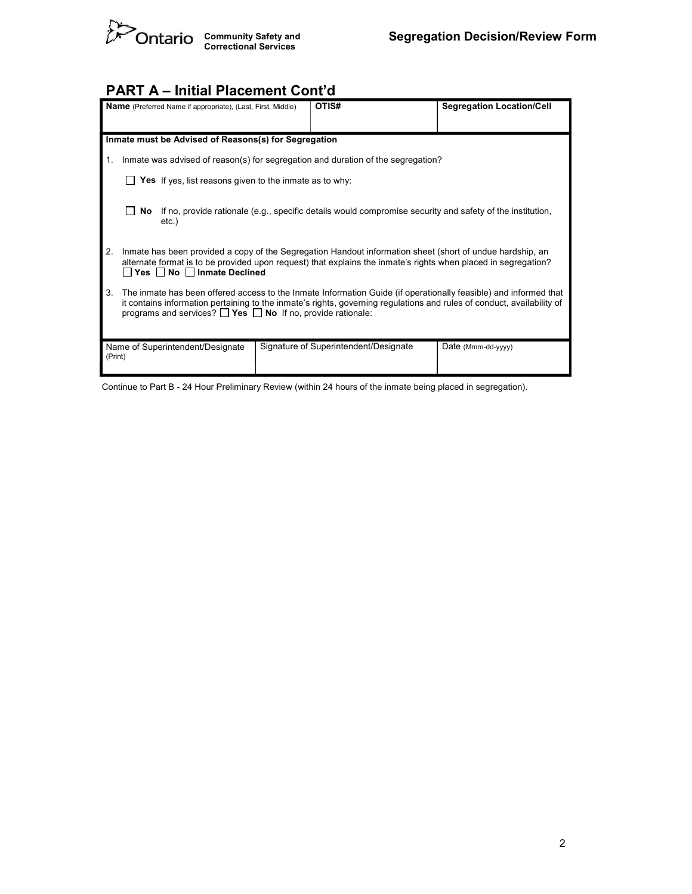

# PART A – Initial Placement Cont'd

| <b>Name</b> (Preferred Name if appropriate), (Last, First, Middle)                                         |                                                                                                                                                                                                                                                                                                                     |                                                                | OTIS# |  | <b>Segregation Location/Cell</b> |  |  |
|------------------------------------------------------------------------------------------------------------|---------------------------------------------------------------------------------------------------------------------------------------------------------------------------------------------------------------------------------------------------------------------------------------------------------------------|----------------------------------------------------------------|-------|--|----------------------------------|--|--|
|                                                                                                            |                                                                                                                                                                                                                                                                                                                     |                                                                |       |  |                                  |  |  |
|                                                                                                            |                                                                                                                                                                                                                                                                                                                     | Inmate must be Advised of Reasons(s) for Segregation           |       |  |                                  |  |  |
| 1.                                                                                                         | Inmate was advised of reason(s) for segregation and duration of the segregation?                                                                                                                                                                                                                                    |                                                                |       |  |                                  |  |  |
|                                                                                                            |                                                                                                                                                                                                                                                                                                                     | <b>Yes</b> If yes, list reasons given to the inmate as to why: |       |  |                                  |  |  |
|                                                                                                            | If no, provide rationale (e.g., specific details would compromise security and safety of the institution,<br>No l<br>$etc.$ )                                                                                                                                                                                       |                                                                |       |  |                                  |  |  |
| 2.                                                                                                         | Inmate has been provided a copy of the Segregation Handout information sheet (short of undue hardship, an<br>alternate format is to be provided upon request) that explains the inmate's rights when placed in segregation?<br>Yes No Inmate Declined                                                               |                                                                |       |  |                                  |  |  |
| 3.                                                                                                         | The inmate has been offered access to the Inmate Information Guide (if operationally feasible) and informed that<br>it contains information pertaining to the inmate's rights, governing regulations and rules of conduct, availability of<br>programs and services? $\Box$ Yes $\Box$ No If no, provide rationale: |                                                                |       |  |                                  |  |  |
| Signature of Superintendent/Designate<br>Date (Mmm-dd-yyyy)<br>Name of Superintendent/Designate<br>(Print) |                                                                                                                                                                                                                                                                                                                     |                                                                |       |  |                                  |  |  |

Continue to Part B - 24 Hour Preliminary Review (within 24 hours of the inmate being placed in segregation).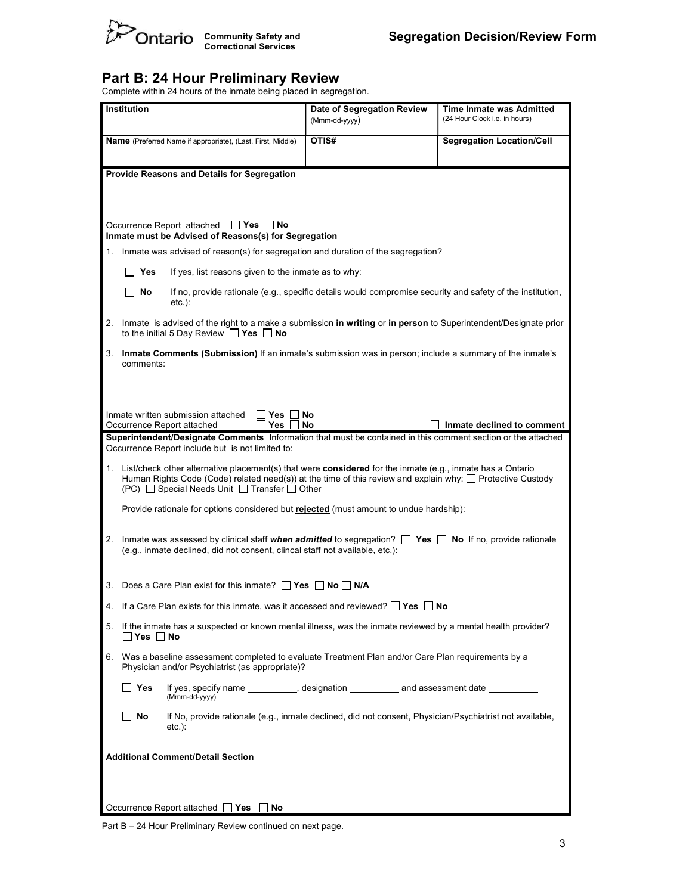

#### Part B: 24 Hour Preliminary Review

Complete within 24 hours of the inmate being placed in segregation.

| Institution |                                                                                                                                                                                                      |                                                                                                                                                                                                                                                                                    | Date of Segregation Review<br>(Mmm-dd-yyyy) | Time Inmate was Admitted<br>(24 Hour Clock i.e. in hours) |  |  |  |  |
|-------------|------------------------------------------------------------------------------------------------------------------------------------------------------------------------------------------------------|------------------------------------------------------------------------------------------------------------------------------------------------------------------------------------------------------------------------------------------------------------------------------------|---------------------------------------------|-----------------------------------------------------------|--|--|--|--|
|             |                                                                                                                                                                                                      | Name (Preferred Name if appropriate), (Last, First, Middle)                                                                                                                                                                                                                        | OTIS#                                       | <b>Segregation Location/Cell</b>                          |  |  |  |  |
|             | Provide Reasons and Details for Segregation                                                                                                                                                          |                                                                                                                                                                                                                                                                                    |                                             |                                                           |  |  |  |  |
|             |                                                                                                                                                                                                      |                                                                                                                                                                                                                                                                                    |                                             |                                                           |  |  |  |  |
|             | Occurrence Report attached<br>Yes<br>No<br>Inmate must be Advised of Reasons(s) for Segregation                                                                                                      |                                                                                                                                                                                                                                                                                    |                                             |                                                           |  |  |  |  |
| 1.          |                                                                                                                                                                                                      | Inmate was advised of reason(s) for segregation and duration of the segregation?                                                                                                                                                                                                   |                                             |                                                           |  |  |  |  |
|             | Yes                                                                                                                                                                                                  | If yes, list reasons given to the inmate as to why:                                                                                                                                                                                                                                |                                             |                                                           |  |  |  |  |
|             | No                                                                                                                                                                                                   | If no, provide rationale (e.g., specific details would compromise security and safety of the institution,<br>$etc.$ ):                                                                                                                                                             |                                             |                                                           |  |  |  |  |
|             |                                                                                                                                                                                                      | 2. Inmate is advised of the right to a make a submission in writing or in person to Superintendent/Designate prior<br>to the initial 5 Day Review $\Box$ Yes $\Box$ No                                                                                                             |                                             |                                                           |  |  |  |  |
|             | comments:                                                                                                                                                                                            | 3. Inmate Comments (Submission) If an inmate's submission was in person; include a summary of the inmate's                                                                                                                                                                         |                                             |                                                           |  |  |  |  |
|             |                                                                                                                                                                                                      |                                                                                                                                                                                                                                                                                    |                                             |                                                           |  |  |  |  |
|             |                                                                                                                                                                                                      | Inmate written submission attached<br>Yes<br><b>Yes</b><br>Occurrence Report attached                                                                                                                                                                                              | No<br>No                                    | Inmate declined to comment                                |  |  |  |  |
|             |                                                                                                                                                                                                      | Superintendent/Designate Comments Information that must be contained in this comment section or the attached<br>Occurrence Report include but is not limited to:                                                                                                                   |                                             |                                                           |  |  |  |  |
|             |                                                                                                                                                                                                      | 1. List/check other alternative placement(s) that were <b>considered</b> for the inmate (e.g., inmate has a Ontario<br>Human Rights Code (Code) related need(s)) at the time of this review and explain why: $\Box$ Protective Custody<br>$(PC)$ Special Needs Unit Transfer Other |                                             |                                                           |  |  |  |  |
|             |                                                                                                                                                                                                      | Provide rationale for options considered but rejected (must amount to undue hardship):                                                                                                                                                                                             |                                             |                                                           |  |  |  |  |
|             | 2. Inmate was assessed by clinical staff when admitted to segregation? $\Box$ Yes $\Box$ No If no, provide rationale<br>(e.g., inmate declined, did not consent, clincal staff not available, etc.): |                                                                                                                                                                                                                                                                                    |                                             |                                                           |  |  |  |  |
|             |                                                                                                                                                                                                      | 3. Does a Care Plan exist for this inmate? $\Box$ Yes $\Box$ No $\Box$ N/A                                                                                                                                                                                                         |                                             |                                                           |  |  |  |  |
|             |                                                                                                                                                                                                      | If a Care Plan exists for this inmate, was it accessed and reviewed? $\Box$ Yes $\Box$ No                                                                                                                                                                                          |                                             |                                                           |  |  |  |  |
|             | 5. If the inmate has a suspected or known mental illness, was the inmate reviewed by a mental health provider?<br>$\Box$ Yes $\Box$ No                                                               |                                                                                                                                                                                                                                                                                    |                                             |                                                           |  |  |  |  |
|             | 6. Was a baseline assessment completed to evaluate Treatment Plan and/or Care Plan requirements by a<br>Physician and/or Psychiatrist (as appropriate)?                                              |                                                                                                                                                                                                                                                                                    |                                             |                                                           |  |  |  |  |
|             | ∣∣ Yes                                                                                                                                                                                               | If yes, specify name __________, designation ___________ and assessment date __________<br>(Mmm-dd-yyyy)                                                                                                                                                                           |                                             |                                                           |  |  |  |  |
|             | If No, provide rationale (e.g., inmate declined, did not consent, Physician/Psychiatrist not available,<br>No<br>$etc.$ ):                                                                           |                                                                                                                                                                                                                                                                                    |                                             |                                                           |  |  |  |  |
|             | <b>Additional Comment/Detail Section</b>                                                                                                                                                             |                                                                                                                                                                                                                                                                                    |                                             |                                                           |  |  |  |  |
|             |                                                                                                                                                                                                      |                                                                                                                                                                                                                                                                                    |                                             |                                                           |  |  |  |  |
|             | Occurrence Report attached $\Box$ Yes $\Box$ No                                                                                                                                                      |                                                                                                                                                                                                                                                                                    |                                             |                                                           |  |  |  |  |

Part B – 24 Hour Preliminary Review continued on next page.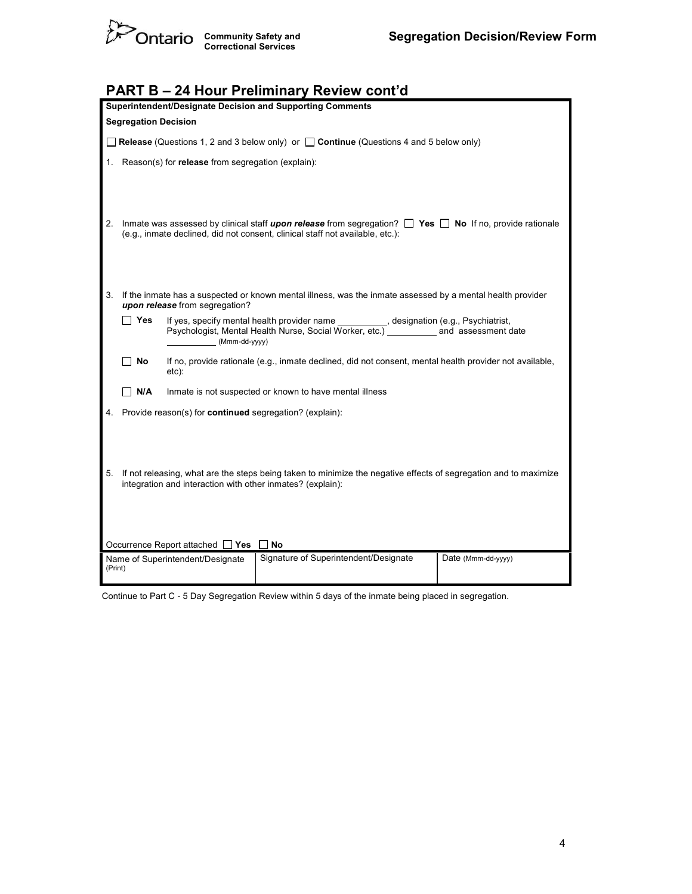

| <b>PART B - 24 Hour Preliminary Review cont'd</b>                                                                                                                                                             |  |  |  |  |  |  |
|---------------------------------------------------------------------------------------------------------------------------------------------------------------------------------------------------------------|--|--|--|--|--|--|
| Superintendent/Designate Decision and Supporting Comments                                                                                                                                                     |  |  |  |  |  |  |
| <b>Segregation Decision</b>                                                                                                                                                                                   |  |  |  |  |  |  |
| <b>Release</b> (Questions 1, 2 and 3 below only) or $\Box$ <b>Continue</b> (Questions 4 and 5 below only)                                                                                                     |  |  |  |  |  |  |
| Reason(s) for release from segregation (explain):                                                                                                                                                             |  |  |  |  |  |  |
| Inmate was assessed by clinical staff upon release from segregation? $\Box$ Yes $\Box$ No If no, provide rationale<br>2.<br>(e.g., inmate declined, did not consent, clinical staff not available, etc.):     |  |  |  |  |  |  |
| 3.<br>If the inmate has a suspected or known mental illness, was the inmate assessed by a mental health provider<br>upon release from segregation?                                                            |  |  |  |  |  |  |
| ∣∣Yes<br>If yes, specify mental health provider name __________, designation (e.g., Psychiatrist,<br>Psychologist, Mental Health Nurse, Social Worker, etc.) ___________ and assessment date<br>(Mmm-dd-yyyy) |  |  |  |  |  |  |
| If no, provide rationale (e.g., inmate declined, did not consent, mental health provider not available,<br>No<br>etc):                                                                                        |  |  |  |  |  |  |
| ∏ N/A<br>Inmate is not suspected or known to have mental illness                                                                                                                                              |  |  |  |  |  |  |
| Provide reason(s) for continued segregation? (explain):                                                                                                                                                       |  |  |  |  |  |  |
|                                                                                                                                                                                                               |  |  |  |  |  |  |
| If not releasing, what are the steps being taken to minimize the negative effects of segregation and to maximize<br>5.<br>integration and interaction with other inmates? (explain):                          |  |  |  |  |  |  |
| Occurrence Report attached □ Yes<br>No                                                                                                                                                                        |  |  |  |  |  |  |
| Signature of Superintendent/Designate<br>Date (Mmm-dd-yyyy)<br>Name of Superintendent/Designate<br>(Print)                                                                                                    |  |  |  |  |  |  |
|                                                                                                                                                                                                               |  |  |  |  |  |  |

Continue to Part C - 5 Day Segregation Review within 5 days of the inmate being placed in segregation.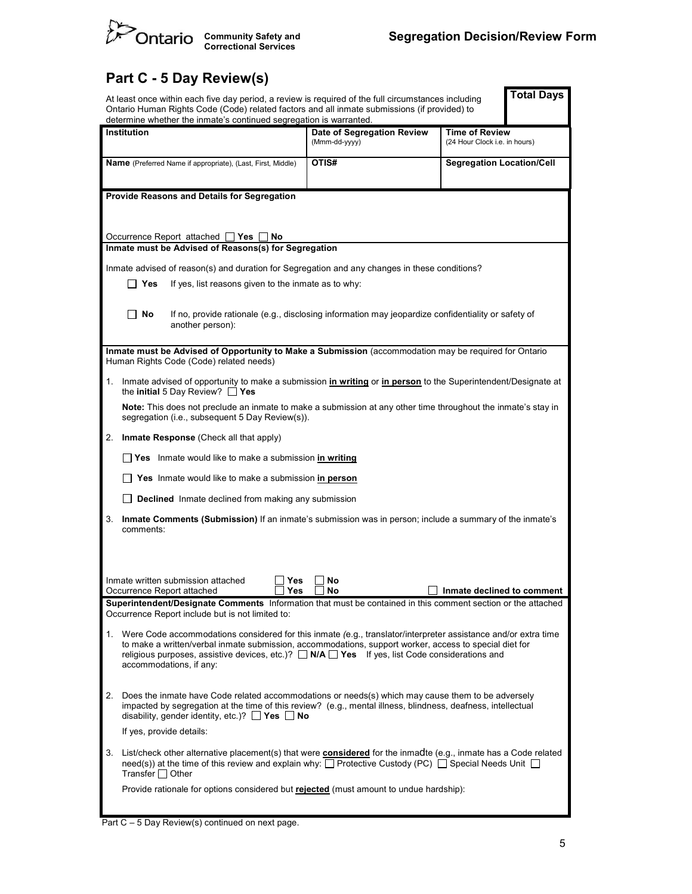

# Part C - 5 Day Review(s)

|             | At least once within each five day period, a review is required of the full circumstances including<br>Ontario Human Rights Code (Code) related factors and all inmate submissions (if provided) to<br>determine whether the inmate's continued segregation is warranted.                                                                                          |                                             |                                                        | <b>Total Days</b> |  |  |  |
|-------------|--------------------------------------------------------------------------------------------------------------------------------------------------------------------------------------------------------------------------------------------------------------------------------------------------------------------------------------------------------------------|---------------------------------------------|--------------------------------------------------------|-------------------|--|--|--|
| Institution |                                                                                                                                                                                                                                                                                                                                                                    | Date of Segregation Review<br>(Mmm-dd-yyyy) | <b>Time of Review</b><br>(24 Hour Clock i.e. in hours) |                   |  |  |  |
|             | <b>Name</b> (Preferred Name if appropriate), (Last, First, Middle)                                                                                                                                                                                                                                                                                                 | OTIS#                                       | <b>Segregation Location/Cell</b>                       |                   |  |  |  |
|             | Provide Reasons and Details for Segregation                                                                                                                                                                                                                                                                                                                        |                                             |                                                        |                   |  |  |  |
|             | Occurrence Report attached<br>∏ Yes<br>No<br>Inmate must be Advised of Reasons(s) for Segregation                                                                                                                                                                                                                                                                  |                                             |                                                        |                   |  |  |  |
|             | Inmate advised of reason(s) and duration for Segregation and any changes in these conditions?                                                                                                                                                                                                                                                                      |                                             |                                                        |                   |  |  |  |
|             | If yes, list reasons given to the inmate as to why:<br>Yes                                                                                                                                                                                                                                                                                                         |                                             |                                                        |                   |  |  |  |
|             | No<br>If no, provide rationale (e.g., disclosing information may jeopardize confidentiality or safety of<br>another person):                                                                                                                                                                                                                                       |                                             |                                                        |                   |  |  |  |
|             | Inmate must be Advised of Opportunity to Make a Submission (accommodation may be required for Ontario<br>Human Rights Code (Code) related needs)                                                                                                                                                                                                                   |                                             |                                                        |                   |  |  |  |
| 1.          | Inmate advised of opportunity to make a submission in writing or in person to the Superintendent/Designate at<br>the initial 5 Day Review? $\Box$ Yes                                                                                                                                                                                                              |                                             |                                                        |                   |  |  |  |
|             | Note: This does not preclude an inmate to make a submission at any other time throughout the inmate's stay in<br>segregation (i.e., subsequent 5 Day Review(s)).                                                                                                                                                                                                   |                                             |                                                        |                   |  |  |  |
| 2.          | Inmate Response (Check all that apply)                                                                                                                                                                                                                                                                                                                             |                                             |                                                        |                   |  |  |  |
|             | □ Yes Inmate would like to make a submission in writing                                                                                                                                                                                                                                                                                                            |                                             |                                                        |                   |  |  |  |
|             | Yes Inmate would like to make a submission in person                                                                                                                                                                                                                                                                                                               |                                             |                                                        |                   |  |  |  |
|             | <b>Declined</b> Inmate declined from making any submission                                                                                                                                                                                                                                                                                                         |                                             |                                                        |                   |  |  |  |
| 3.          | Inmate Comments (Submission) If an inmate's submission was in person; include a summary of the inmate's<br>comments:                                                                                                                                                                                                                                               |                                             |                                                        |                   |  |  |  |
|             |                                                                                                                                                                                                                                                                                                                                                                    |                                             |                                                        |                   |  |  |  |
|             | Inmate written submission attached<br>Yes<br>Occurrence Report attached.<br>Yes                                                                                                                                                                                                                                                                                    | No<br>Nο                                    | $\perp$ Inmate declined to comment                     |                   |  |  |  |
|             |                                                                                                                                                                                                                                                                                                                                                                    |                                             |                                                        |                   |  |  |  |
|             | Superintendent/Designate Comments Information that must be contained in this comment section or the attached<br>Occurrence Report include but is not limited to:                                                                                                                                                                                                   |                                             |                                                        |                   |  |  |  |
|             | 1. Were Code accommodations considered for this inmate (e.g., translator/interpreter assistance and/or extra time<br>to make a written/verbal inmate submission, accommodations, support worker, access to special diet for<br>religious purposes, assistive devices, etc.)? $\Box$ N/A $\Box$ Yes If yes, list Code considerations and<br>accommodations, if any: |                                             |                                                        |                   |  |  |  |
| 2.          | Does the inmate have Code related accommodations or needs(s) which may cause them to be adversely<br>impacted by segregation at the time of this review? (e.g., mental illness, blindness, deafness, intellectual<br>disability, gender identity, etc.)? ■ Yes ■ No                                                                                                |                                             |                                                        |                   |  |  |  |
|             | If yes, provide details:                                                                                                                                                                                                                                                                                                                                           |                                             |                                                        |                   |  |  |  |
| 3.          | List/check other alternative placement(s) that were <b>considered</b> for the inmadte (e.g., inmate has a Code related<br>need(s)) at the time of this review and explain why: $\Box$ Protective Custody (PC) $\Box$ Special Needs Unit $\Box$<br>Transfer $\Box$ Other                                                                                            |                                             |                                                        |                   |  |  |  |
|             | Provide rationale for options considered but rejected (must amount to undue hardship):                                                                                                                                                                                                                                                                             |                                             |                                                        |                   |  |  |  |

Part C – 5 Day Revi ew(s) continued on next page.

ш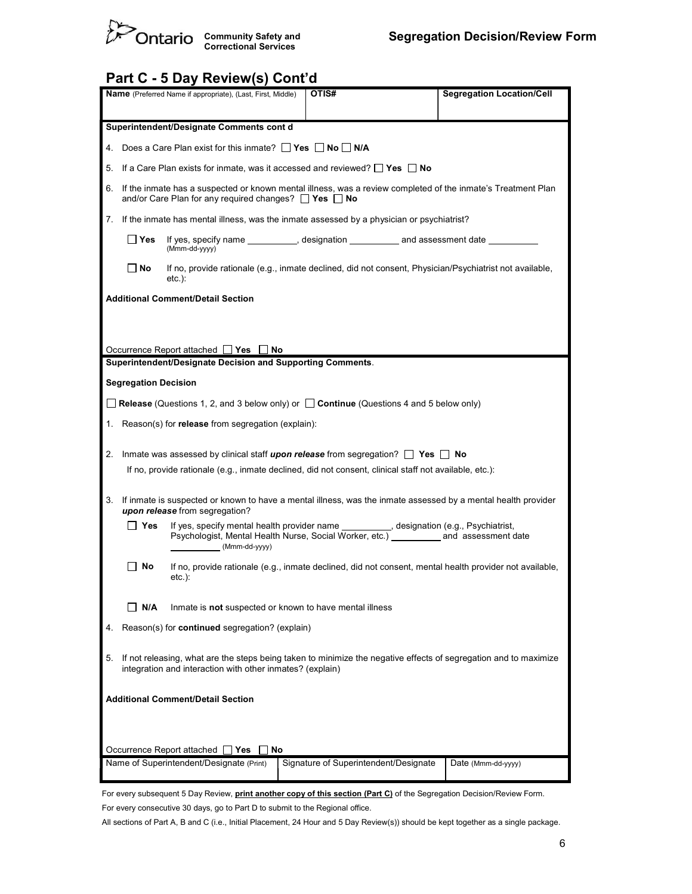

# Part C - 5 Day Review(s) Cont'd

| <b>Segregation Location/Cell</b><br>OTIS#<br><b>Name</b> (Preferred Name if appropriate), (Last, First, Middle)                                                                                                 |  |  |  |  |  |  |  |
|-----------------------------------------------------------------------------------------------------------------------------------------------------------------------------------------------------------------|--|--|--|--|--|--|--|
| Superintendent/Designate Comments cont d                                                                                                                                                                        |  |  |  |  |  |  |  |
| 4. Does a Care Plan exist for this inmate? $\Box$ Yes $\Box$ No $\Box$ N/A                                                                                                                                      |  |  |  |  |  |  |  |
| 5. If a Care Plan exists for inmate, was it accessed and reviewed? <b>Yes</b> No                                                                                                                                |  |  |  |  |  |  |  |
| 6. If the inmate has a suspected or known mental illness, was a review completed of the inmate's Treatment Plan<br>and/or Care Plan for any required changes? $\Box$ Yes $\Box$ No                              |  |  |  |  |  |  |  |
| If the inmate has mental illness, was the inmate assessed by a physician or psychiatrist?<br>7.                                                                                                                 |  |  |  |  |  |  |  |
| If yes, specify name __________, designation ___________ and assessment date<br>∣ Yes<br>(Mmm-dd-yyyy)                                                                                                          |  |  |  |  |  |  |  |
| No<br>If no, provide rationale (e.g., inmate declined, did not consent, Physician/Psychiatrist not available,<br>etc.):                                                                                         |  |  |  |  |  |  |  |
| <b>Additional Comment/Detail Section</b>                                                                                                                                                                        |  |  |  |  |  |  |  |
|                                                                                                                                                                                                                 |  |  |  |  |  |  |  |
|                                                                                                                                                                                                                 |  |  |  |  |  |  |  |
| Occurrence Report attached $\Box$ Yes $\Box$ No<br>Superintendent/Designate Decision and Supporting Comments.                                                                                                   |  |  |  |  |  |  |  |
| <b>Segregation Decision</b>                                                                                                                                                                                     |  |  |  |  |  |  |  |
| <b>Release</b> (Questions 1, 2, and 3 below only) or $\Box$ <b>Continue</b> (Questions 4 and 5 below only)                                                                                                      |  |  |  |  |  |  |  |
| 1. Reason(s) for <b>release</b> from segregation (explain):                                                                                                                                                     |  |  |  |  |  |  |  |
| Inmate was assessed by clinical staff upon release from segregation? $\Box$ Yes $\Box$ No<br>2.                                                                                                                 |  |  |  |  |  |  |  |
| If no, provide rationale (e.g., inmate declined, did not consent, clinical staff not available, etc.):                                                                                                          |  |  |  |  |  |  |  |
| If inmate is suspected or known to have a mental illness, was the inmate assessed by a mental health provider<br>3.<br>upon release from segregation?                                                           |  |  |  |  |  |  |  |
| If yes, specify mental health provider name ___________, designation (e.g., Psychiatrist,<br>∐ Yes<br>Psychologist, Mental Health Nurse, Social Worker, etc.) ____________ and assessment date<br>(Mmm-dd-yyyy) |  |  |  |  |  |  |  |
| ∣ No<br>If no, provide rationale (e.g., inmate declined, did not consent, mental health provider not available,<br>$etc.$ ):                                                                                    |  |  |  |  |  |  |  |
| N/A<br>Inmate is not suspected or known to have mental illness                                                                                                                                                  |  |  |  |  |  |  |  |
| Reason(s) for <b>continued</b> segregation? (explain)<br>4.                                                                                                                                                     |  |  |  |  |  |  |  |
| If not releasing, what are the steps being taken to minimize the negative effects of segregation and to maximize<br>5.<br>integration and interaction with other inmates? (explain)                             |  |  |  |  |  |  |  |
| <b>Additional Comment/Detail Section</b>                                                                                                                                                                        |  |  |  |  |  |  |  |
|                                                                                                                                                                                                                 |  |  |  |  |  |  |  |
| Occurrence Report attached<br>No<br>Yes<br>Signature of Superintendent/Designate<br>Name of Superintendent/Designate (Print)<br>Date (Mmm-dd-yyyy)                                                              |  |  |  |  |  |  |  |

For every subsequent 5 Day Review, **print another copy of this section (Part C)** of the Segregation Decision/Review Form.

For every consecutive 30 days, go to Part D to submit to the Regional office.

All sections of Part A, B and C (i.e., Initial Placement, 24 Hour and 5 Day Review(s)) should be kept together as a single package.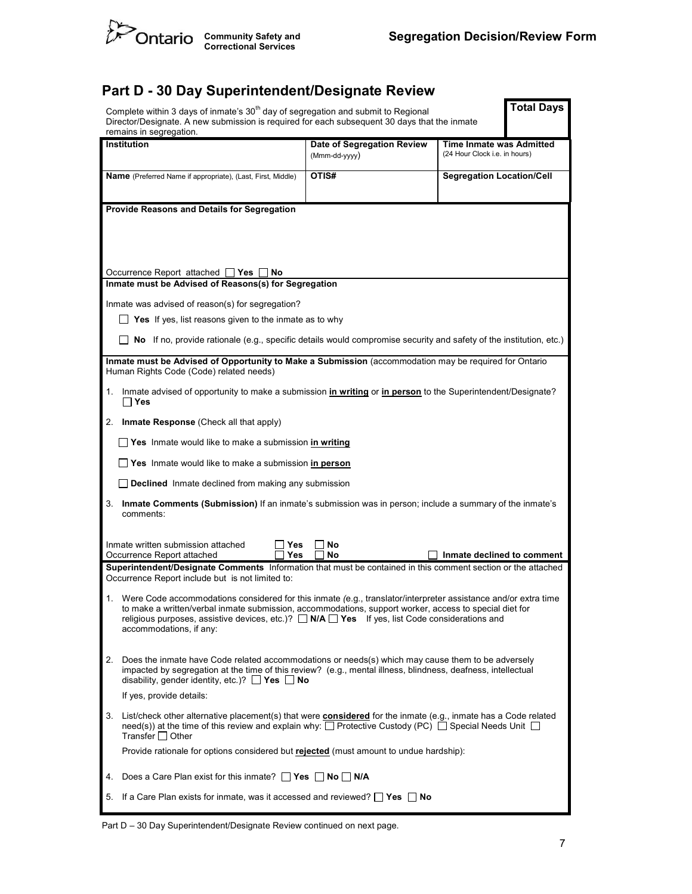

#### Part D - 30 Day Superintendent/Designate Review

|    | <b>Total Days</b><br>Complete within 3 days of inmate's 30 <sup>th</sup> day of segregation and submit to Regional<br>Director/Designate. A new submission is required for each subsequent 30 days that the inmate<br>remains in segregation.                                                                                                                   |                                             |                                                           |  |  |  |  |
|----|-----------------------------------------------------------------------------------------------------------------------------------------------------------------------------------------------------------------------------------------------------------------------------------------------------------------------------------------------------------------|---------------------------------------------|-----------------------------------------------------------|--|--|--|--|
|    | Institution                                                                                                                                                                                                                                                                                                                                                     | Date of Segregation Review<br>(Mmm-dd-yyyy) | Time Inmate was Admitted<br>(24 Hour Clock i.e. in hours) |  |  |  |  |
|    | Name (Preferred Name if appropriate), (Last, First, Middle)                                                                                                                                                                                                                                                                                                     | OTIS#                                       | <b>Segregation Location/Cell</b>                          |  |  |  |  |
|    | Provide Reasons and Details for Segregation                                                                                                                                                                                                                                                                                                                     |                                             |                                                           |  |  |  |  |
|    |                                                                                                                                                                                                                                                                                                                                                                 |                                             |                                                           |  |  |  |  |
|    | Occurrence Report attached<br>∐ Yes<br>No<br>Inmate must be Advised of Reasons(s) for Segregation                                                                                                                                                                                                                                                               |                                             |                                                           |  |  |  |  |
|    | Inmate was advised of reason(s) for segregation?                                                                                                                                                                                                                                                                                                                |                                             |                                                           |  |  |  |  |
|    | Yes If yes, list reasons given to the inmate as to why                                                                                                                                                                                                                                                                                                          |                                             |                                                           |  |  |  |  |
|    | No If no, provide rationale (e.g., specific details would compromise security and safety of the institution, etc.)                                                                                                                                                                                                                                              |                                             |                                                           |  |  |  |  |
|    | Inmate must be Advised of Opportunity to Make a Submission (accommodation may be required for Ontario<br>Human Rights Code (Code) related needs)                                                                                                                                                                                                                |                                             |                                                           |  |  |  |  |
| 1. | Inmate advised of opportunity to make a submission in writing or in person to the Superintendent/Designate?<br>$\Box$ Yes                                                                                                                                                                                                                                       |                                             |                                                           |  |  |  |  |
|    | 2. Inmate Response (Check all that apply)                                                                                                                                                                                                                                                                                                                       |                                             |                                                           |  |  |  |  |
|    | <b>Yes</b> Inmate would like to make a submission in writing                                                                                                                                                                                                                                                                                                    |                                             |                                                           |  |  |  |  |
|    | Yes Inmate would like to make a submission in person                                                                                                                                                                                                                                                                                                            |                                             |                                                           |  |  |  |  |
|    | <b>Declined</b> Inmate declined from making any submission                                                                                                                                                                                                                                                                                                      |                                             |                                                           |  |  |  |  |
|    | 3. Inmate Comments (Submission) If an inmate's submission was in person; include a summary of the inmate's<br>comments:                                                                                                                                                                                                                                         |                                             |                                                           |  |  |  |  |
|    | Inmate written submission attached<br>Yes<br>Yes<br>Occurrence Report attached                                                                                                                                                                                                                                                                                  | No<br>No                                    | Inmate declined to comment                                |  |  |  |  |
|    | Superintendent/Designate Comments Information that must be contained in this comment section or the attached<br>Occurrence Report include but is not limited to:                                                                                                                                                                                                |                                             |                                                           |  |  |  |  |
|    | Were Code accommodations considered for this inmate (e.g., translator/interpreter assistance and/or extra time<br>to make a written/verbal inmate submission, accommodations, support worker, access to special diet for<br>religious purposes, assistive devices, etc.)? $\Box$ N/A $\Box$ Yes If yes, list Code considerations and<br>accommodations, if any: |                                             |                                                           |  |  |  |  |
| 2. | Does the inmate have Code related accommodations or needs(s) which may cause them to be adversely<br>impacted by segregation at the time of this review? (e.g., mental illness, blindness, deafness, intellectual<br>disability, gender identity, etc.)? $\Box$ Yes $\Box$ No                                                                                   |                                             |                                                           |  |  |  |  |
|    | If yes, provide details:                                                                                                                                                                                                                                                                                                                                        |                                             |                                                           |  |  |  |  |
|    | 3. List/check other alternative placement(s) that were considered for the inmate (e.g., inmate has a Code related<br>need(s)) at the time of this review and explain why: $\Box$ Protective Custody (PC) $\Box$ Special Needs Unit $\Box$<br>Transfer $\Box$ Other                                                                                              |                                             |                                                           |  |  |  |  |
|    | Provide rationale for options considered but rejected (must amount to undue hardship):                                                                                                                                                                                                                                                                          |                                             |                                                           |  |  |  |  |
| 4. | Does a Care Plan exist for this inmate? $\Box$ Yes $\Box$ No $\Box$ N/A                                                                                                                                                                                                                                                                                         |                                             |                                                           |  |  |  |  |
|    | 5. If a Care Plan exists for inmate, was it accessed and reviewed? $\Box$ Yes $\Box$ No                                                                                                                                                                                                                                                                         |                                             |                                                           |  |  |  |  |

Part D – 30 Day Superintendent/Designate Review continued on next page.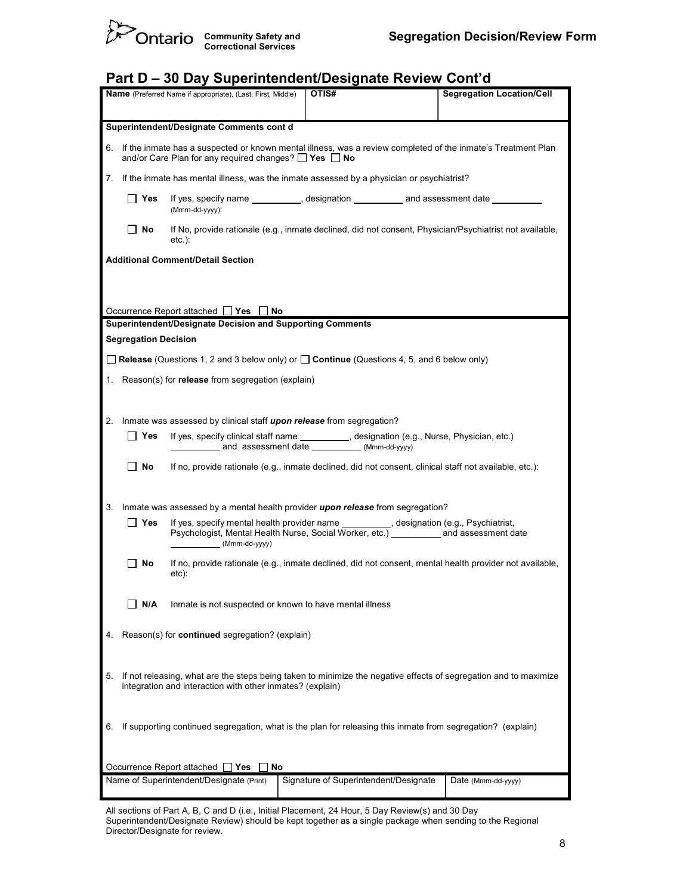

## Part D – 30 Day Superintendent/Designate Review Cont'd

|    | OTIS#<br><b>Segregation Location/Cell</b><br><b>Name</b> (Preferred Name if appropriate), (Last, First, Middle)                                                                    |                                                                                                                                            |  |                                       |  |                                                                                                         |  |
|----|------------------------------------------------------------------------------------------------------------------------------------------------------------------------------------|--------------------------------------------------------------------------------------------------------------------------------------------|--|---------------------------------------|--|---------------------------------------------------------------------------------------------------------|--|
|    |                                                                                                                                                                                    |                                                                                                                                            |  |                                       |  |                                                                                                         |  |
|    |                                                                                                                                                                                    | Superintendent/Designate Comments cont d                                                                                                   |  |                                       |  |                                                                                                         |  |
|    | 6. If the inmate has a suspected or known mental illness, was a review completed of the inmate's Treatment Plan<br>and/or Care Plan for any required changes? $\Box$ Yes $\Box$ No |                                                                                                                                            |  |                                       |  |                                                                                                         |  |
| 7. |                                                                                                                                                                                    | If the inmate has mental illness, was the inmate assessed by a physician or psychiatrist?                                                  |  |                                       |  |                                                                                                         |  |
|    | If yes, specify name __________, designation ___________ and assessment date ________<br>∣ Yes<br>(Mmm-dd-yyyy):                                                                   |                                                                                                                                            |  |                                       |  |                                                                                                         |  |
|    | No                                                                                                                                                                                 | $etc.$ ):                                                                                                                                  |  |                                       |  | If No, provide rationale (e.g., inmate declined, did not consent, Physician/Psychiatrist not available, |  |
|    |                                                                                                                                                                                    | <b>Additional Comment/Detail Section</b>                                                                                                   |  |                                       |  |                                                                                                         |  |
|    |                                                                                                                                                                                    |                                                                                                                                            |  |                                       |  |                                                                                                         |  |
|    |                                                                                                                                                                                    |                                                                                                                                            |  |                                       |  |                                                                                                         |  |
|    |                                                                                                                                                                                    | Occurrence Report attached $\Box$ Yes $\Box$ No                                                                                            |  |                                       |  |                                                                                                         |  |
|    | <b>Segregation Decision</b>                                                                                                                                                        | Superintendent/Designate Decision and Supporting Comments                                                                                  |  |                                       |  |                                                                                                         |  |
|    |                                                                                                                                                                                    |                                                                                                                                            |  |                                       |  |                                                                                                         |  |
|    |                                                                                                                                                                                    | <b>Release</b> (Questions 1, 2 and 3 below only) or $\Box$ <b>Continue</b> (Questions 4, 5, and 6 below only)                              |  |                                       |  |                                                                                                         |  |
|    |                                                                                                                                                                                    | 1. Reason(s) for <b>release</b> from segregation (explain)                                                                                 |  |                                       |  |                                                                                                         |  |
|    |                                                                                                                                                                                    |                                                                                                                                            |  |                                       |  |                                                                                                         |  |
| 2. |                                                                                                                                                                                    | Inmate was assessed by clinical staff upon release from segregation?                                                                       |  |                                       |  |                                                                                                         |  |
|    | Yes                                                                                                                                                                                | If yes, specify clinical staff name __________, designation (e.g., Nurse, Physician, etc.)<br>and assessment date ___________(Mmm-dd-yyyy) |  |                                       |  |                                                                                                         |  |
|    | No                                                                                                                                                                                 | If no, provide rationale (e.g., inmate declined, did not consent, clinical staff not available, etc.):                                     |  |                                       |  |                                                                                                         |  |
|    |                                                                                                                                                                                    |                                                                                                                                            |  |                                       |  |                                                                                                         |  |
| 3. |                                                                                                                                                                                    | Inmate was assessed by a mental health provider upon release from segregation?                                                             |  |                                       |  |                                                                                                         |  |
|    | Yes                                                                                                                                                                                | If yes, specify mental health provider name __________, designation (e.g., Psychiatrist,                                                   |  |                                       |  |                                                                                                         |  |
|    | Psychologist, Mental Health Nurse, Social Worker, etc.) ____________ and assessment date<br>(Mmm-dd-yyyy)                                                                          |                                                                                                                                            |  |                                       |  |                                                                                                         |  |
|    | No                                                                                                                                                                                 | etc):                                                                                                                                      |  |                                       |  | If no, provide rationale (e.g., inmate declined, did not consent, mental health provider not available, |  |
|    |                                                                                                                                                                                    |                                                                                                                                            |  |                                       |  |                                                                                                         |  |
|    | N/A                                                                                                                                                                                | Inmate is not suspected or known to have mental illness                                                                                    |  |                                       |  |                                                                                                         |  |
| 4. | Reason(s) for continued segregation? (explain)                                                                                                                                     |                                                                                                                                            |  |                                       |  |                                                                                                         |  |
|    |                                                                                                                                                                                    |                                                                                                                                            |  |                                       |  |                                                                                                         |  |
| 5. | If not releasing, what are the steps being taken to minimize the negative effects of segregation and to maximize                                                                   |                                                                                                                                            |  |                                       |  |                                                                                                         |  |
|    | integration and interaction with other inmates? (explain)                                                                                                                          |                                                                                                                                            |  |                                       |  |                                                                                                         |  |
|    |                                                                                                                                                                                    |                                                                                                                                            |  |                                       |  |                                                                                                         |  |
| 6. | If supporting continued segregation, what is the plan for releasing this inmate from segregation? (explain)                                                                        |                                                                                                                                            |  |                                       |  |                                                                                                         |  |
|    |                                                                                                                                                                                    |                                                                                                                                            |  |                                       |  |                                                                                                         |  |
|    |                                                                                                                                                                                    | Occurrence Report attached □ Yes<br>No                                                                                                     |  |                                       |  |                                                                                                         |  |
|    |                                                                                                                                                                                    | Name of Superintendent/Designate (Print)                                                                                                   |  | Signature of Superintendent/Designate |  | Date (Mmm-dd-yyyy)                                                                                      |  |
|    |                                                                                                                                                                                    |                                                                                                                                            |  |                                       |  |                                                                                                         |  |

 All sections of Part A, B, C and D (i.e., Initial Placement, 24 Hour, 5 Day Review(s) and 30 Day Superintendent/Designate Review) should be kept together as a single package when sending to the Regional Director/Designate for review.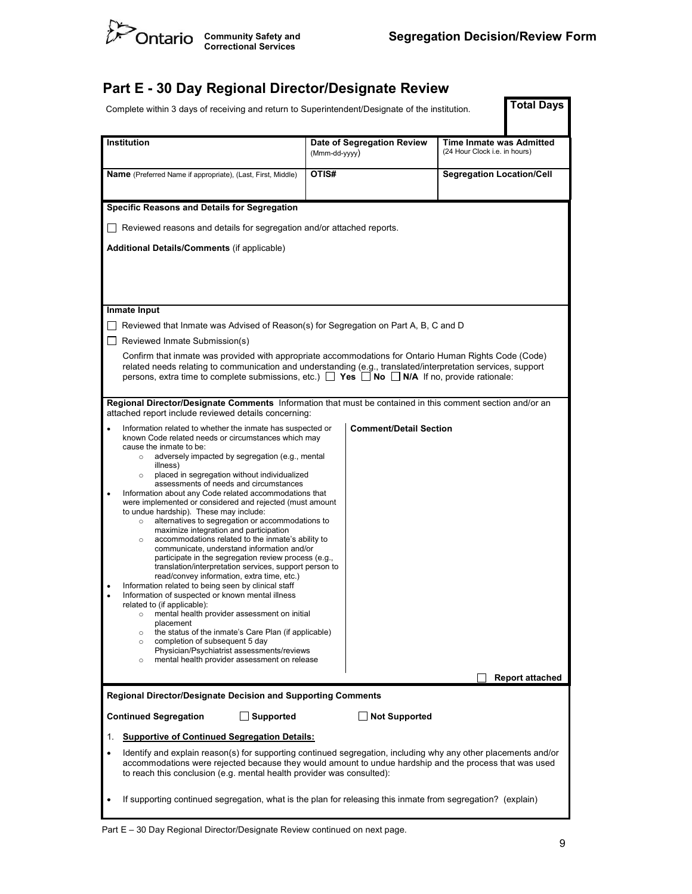

## Part E - 30 Day Regional Director/Designate Review

| Complete within 3 days of receiving and return to Superintendent/Designate of the institution.                                                                                                                                                                                                                                                                                                                                                                                                                                                                                                                                                                                                                                                                                                                                                                                                                                                                                                                                                                                                                                                                                                                                                                                                                                                                              |                                                                                                                                                                                                                                                                                                                                       | <b>Total Days</b>                                                |  |  |  |  |  |
|-----------------------------------------------------------------------------------------------------------------------------------------------------------------------------------------------------------------------------------------------------------------------------------------------------------------------------------------------------------------------------------------------------------------------------------------------------------------------------------------------------------------------------------------------------------------------------------------------------------------------------------------------------------------------------------------------------------------------------------------------------------------------------------------------------------------------------------------------------------------------------------------------------------------------------------------------------------------------------------------------------------------------------------------------------------------------------------------------------------------------------------------------------------------------------------------------------------------------------------------------------------------------------------------------------------------------------------------------------------------------------|---------------------------------------------------------------------------------------------------------------------------------------------------------------------------------------------------------------------------------------------------------------------------------------------------------------------------------------|------------------------------------------------------------------|--|--|--|--|--|
| <b>Institution</b>                                                                                                                                                                                                                                                                                                                                                                                                                                                                                                                                                                                                                                                                                                                                                                                                                                                                                                                                                                                                                                                                                                                                                                                                                                                                                                                                                          | Date of Segregation Review<br>(Mmm-dd-yyyy)                                                                                                                                                                                                                                                                                           | <b>Time Inmate was Admitted</b><br>(24 Hour Clock i.e. in hours) |  |  |  |  |  |
| <b>Name</b> (Preferred Name if appropriate), (Last, First, Middle)                                                                                                                                                                                                                                                                                                                                                                                                                                                                                                                                                                                                                                                                                                                                                                                                                                                                                                                                                                                                                                                                                                                                                                                                                                                                                                          | OTIS#                                                                                                                                                                                                                                                                                                                                 | <b>Segregation Location/Cell</b>                                 |  |  |  |  |  |
| Specific Reasons and Details for Segregation                                                                                                                                                                                                                                                                                                                                                                                                                                                                                                                                                                                                                                                                                                                                                                                                                                                                                                                                                                                                                                                                                                                                                                                                                                                                                                                                |                                                                                                                                                                                                                                                                                                                                       |                                                                  |  |  |  |  |  |
| □ Reviewed reasons and details for segregation and/or attached reports.                                                                                                                                                                                                                                                                                                                                                                                                                                                                                                                                                                                                                                                                                                                                                                                                                                                                                                                                                                                                                                                                                                                                                                                                                                                                                                     |                                                                                                                                                                                                                                                                                                                                       |                                                                  |  |  |  |  |  |
| <b>Additional Details/Comments (if applicable)</b>                                                                                                                                                                                                                                                                                                                                                                                                                                                                                                                                                                                                                                                                                                                                                                                                                                                                                                                                                                                                                                                                                                                                                                                                                                                                                                                          |                                                                                                                                                                                                                                                                                                                                       |                                                                  |  |  |  |  |  |
| Inmate Input                                                                                                                                                                                                                                                                                                                                                                                                                                                                                                                                                                                                                                                                                                                                                                                                                                                                                                                                                                                                                                                                                                                                                                                                                                                                                                                                                                |                                                                                                                                                                                                                                                                                                                                       |                                                                  |  |  |  |  |  |
| Reviewed that Inmate was Advised of Reason(s) for Segregation on Part A, B, C and D                                                                                                                                                                                                                                                                                                                                                                                                                                                                                                                                                                                                                                                                                                                                                                                                                                                                                                                                                                                                                                                                                                                                                                                                                                                                                         |                                                                                                                                                                                                                                                                                                                                       |                                                                  |  |  |  |  |  |
| Reviewed Inmate Submission(s)                                                                                                                                                                                                                                                                                                                                                                                                                                                                                                                                                                                                                                                                                                                                                                                                                                                                                                                                                                                                                                                                                                                                                                                                                                                                                                                                               |                                                                                                                                                                                                                                                                                                                                       |                                                                  |  |  |  |  |  |
|                                                                                                                                                                                                                                                                                                                                                                                                                                                                                                                                                                                                                                                                                                                                                                                                                                                                                                                                                                                                                                                                                                                                                                                                                                                                                                                                                                             | Confirm that inmate was provided with appropriate accommodations for Ontario Human Rights Code (Code)<br>related needs relating to communication and understanding (e.g., translated/interpretation services, support<br>persons, extra time to complete submissions, etc.) $\Box$ Yes $\Box$ No $\Box$ N/A If no, provide rationale: |                                                                  |  |  |  |  |  |
| Regional Director/Designate Comments Information that must be contained in this comment section and/or an<br>attached report include reviewed details concerning:                                                                                                                                                                                                                                                                                                                                                                                                                                                                                                                                                                                                                                                                                                                                                                                                                                                                                                                                                                                                                                                                                                                                                                                                           |                                                                                                                                                                                                                                                                                                                                       |                                                                  |  |  |  |  |  |
| <b>Comment/Detail Section</b><br>Information related to whether the inmate has suspected or<br>known Code related needs or circumstances which may<br>cause the inmate to be:<br>adversely impacted by segregation (e.g., mental<br>$\circ$<br>illness)<br>placed in segregation without individualized<br>$\circ$<br>assessments of needs and circumstances<br>Information about any Code related accommodations that<br>$\bullet$<br>were implemented or considered and rejected (must amount<br>to undue hardship). These may include:<br>alternatives to segregation or accommodations to<br>$\circ$<br>maximize integration and participation<br>accommodations related to the inmate's ability to<br>$\circ$<br>communicate, understand information and/or<br>participate in the segregation review process (e.g.,<br>translation/interpretation services, support person to<br>read/convey information, extra time, etc.)<br>Information related to being seen by clinical staff<br>Information of suspected or known mental illness<br>related to (if applicable):<br>mental health provider assessment on initial<br>$\circ$<br>placement<br>the status of the inmate's Care Plan (if applicable)<br>$\circ$<br>completion of subsequent 5 day<br>$\circ$<br>Physician/Psychiatrist assessments/reviews<br>mental health provider assessment on release<br>$\circ$ |                                                                                                                                                                                                                                                                                                                                       |                                                                  |  |  |  |  |  |
|                                                                                                                                                                                                                                                                                                                                                                                                                                                                                                                                                                                                                                                                                                                                                                                                                                                                                                                                                                                                                                                                                                                                                                                                                                                                                                                                                                             | <b>Report attached</b>                                                                                                                                                                                                                                                                                                                |                                                                  |  |  |  |  |  |
| <b>Regional Director/Designate Decision and Supporting Comments</b>                                                                                                                                                                                                                                                                                                                                                                                                                                                                                                                                                                                                                                                                                                                                                                                                                                                                                                                                                                                                                                                                                                                                                                                                                                                                                                         |                                                                                                                                                                                                                                                                                                                                       |                                                                  |  |  |  |  |  |
| <b>Continued Segregation</b><br>Supported                                                                                                                                                                                                                                                                                                                                                                                                                                                                                                                                                                                                                                                                                                                                                                                                                                                                                                                                                                                                                                                                                                                                                                                                                                                                                                                                   | <b>Not Supported</b>                                                                                                                                                                                                                                                                                                                  |                                                                  |  |  |  |  |  |
| <b>Supportive of Continued Segregation Details:</b><br>1.                                                                                                                                                                                                                                                                                                                                                                                                                                                                                                                                                                                                                                                                                                                                                                                                                                                                                                                                                                                                                                                                                                                                                                                                                                                                                                                   |                                                                                                                                                                                                                                                                                                                                       |                                                                  |  |  |  |  |  |
| Identify and explain reason(s) for supporting continued segregation, including why any other placements and/or<br>accommodations were rejected because they would amount to undue hardship and the process that was used<br>to reach this conclusion (e.g. mental health provider was consulted):                                                                                                                                                                                                                                                                                                                                                                                                                                                                                                                                                                                                                                                                                                                                                                                                                                                                                                                                                                                                                                                                           |                                                                                                                                                                                                                                                                                                                                       |                                                                  |  |  |  |  |  |
|                                                                                                                                                                                                                                                                                                                                                                                                                                                                                                                                                                                                                                                                                                                                                                                                                                                                                                                                                                                                                                                                                                                                                                                                                                                                                                                                                                             | If supporting continued segregation, what is the plan for releasing this inmate from segregation? (explain)                                                                                                                                                                                                                           |                                                                  |  |  |  |  |  |

Part E – 30 Day Regional Director/Designate Review continued on next page.